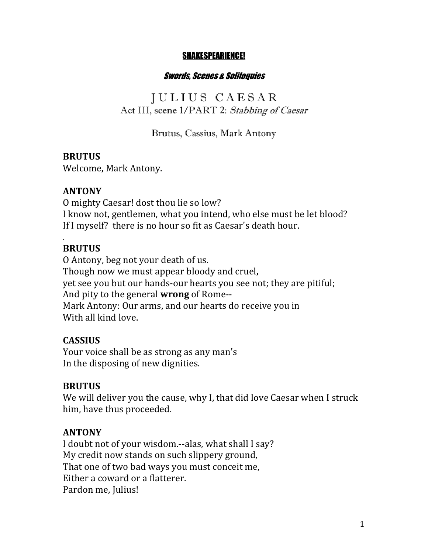#### SHAKESPEARIENCE!

#### Swords, Scenes & Soliloquies

J U L I U S C A E S A R Act III, scene 1/PART 2: Stabbing of Caesar

### Brutus, Cassius, Mark Antony

### **BRUTUS**

Welcome, Mark Antony.

### **ANTONY**

O mighty Caesar! dost thou lie so low? I know not, gentlemen, what you intend, who else must be let blood? If I myself? there is no hour so fit as Caesar's death hour.

### **BRUTUS**

.

O Antony, beg not your death of us. Though now we must appear bloody and cruel, yet see you but our hands-our hearts you see not; they are pitiful; And pity to the general **wrong** of Rome--Mark Antony: Our arms, and our hearts do receive you in With all kind love.

### **CASSIUS**

Your voice shall be as strong as any man's In the disposing of new dignities.

### **BRUTUS**

We will deliver you the cause, why I, that did love Caesar when I struck him, have thus proceeded.

### **ANTONY**

I doubt not of your wisdom.--alas, what shall I say? My credit now stands on such slippery ground, That one of two bad ways you must conceit me, Either a coward or a flatterer. Pardon me, Julius!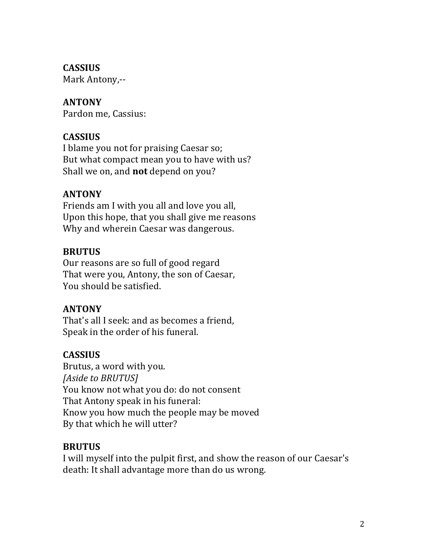### **CASSIUS**

Mark Antony,--

# **ANTONY**

Pardon me, Cassius:

# **CASSIUS**

I blame you not for praising Caesar so; But what compact mean you to have with us? Shall we on, and **not** depend on you?

## **ANTONY**

Friends am I with you all and love you all, Upon this hope, that you shall give me reasons Why and wherein Caesar was dangerous.

## **BRUTUS**

Our reasons are so full of good regard That were you, Antony, the son of Caesar, You should be satisfied.

## **ANTONY**

That's all I seek: and as becomes a friend, Speak in the order of his funeral.

# **CASSIUS**

Brutus, a word with you. *[Aside to BRUTUS]* You know not what you do: do not consent That Antony speak in his funeral: Know you how much the people may be moved By that which he will utter?

## **BRUTUS**

I will myself into the pulpit first, and show the reason of our Caesar's death: It shall advantage more than do us wrong.